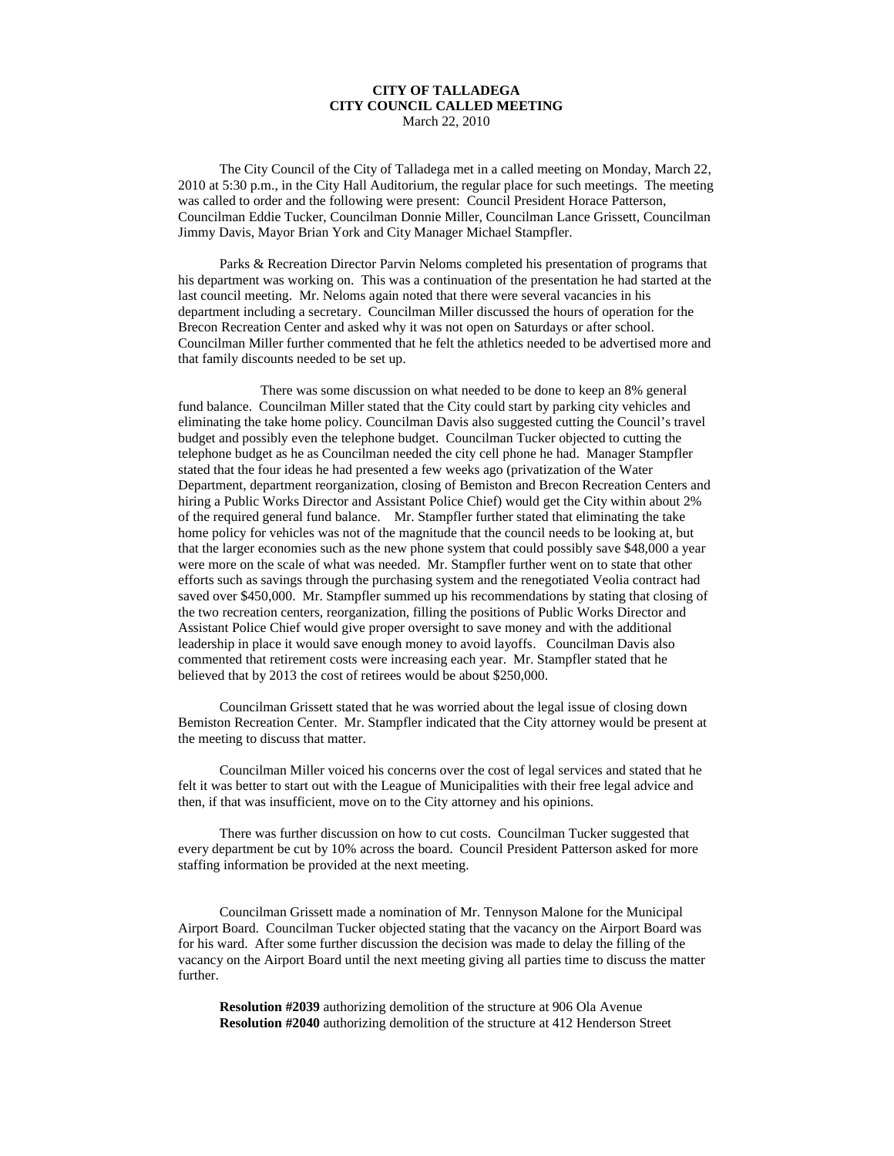## **CITY OF TALLADEGA CITY COUNCIL CALLED MEETING** March 22, 2010

The City Council of the City of Talladega met in a called meeting on Monday, March 22, 2010 at 5:30 p.m., in the City Hall Auditorium, the regular place for such meetings. The meeting was called to order and the following were present: Council President Horace Patterson, Councilman Eddie Tucker, Councilman Donnie Miller, Councilman Lance Grissett, Councilman Jimmy Davis, Mayor Brian York and City Manager Michael Stampfler.

Parks & Recreation Director Parvin Neloms completed his presentation of programs that his department was working on. This was a continuation of the presentation he had started at the last council meeting. Mr. Neloms again noted that there were several vacancies in his department including a secretary. Councilman Miller discussed the hours of operation for the Brecon Recreation Center and asked why it was not open on Saturdays or after school. Councilman Miller further commented that he felt the athletics needed to be advertised more and that family discounts needed to be set up.

There was some discussion on what needed to be done to keep an 8% general fund balance. Councilman Miller stated that the City could start by parking city vehicles and eliminating the take home policy. Councilman Davis also suggested cutting the Council's travel budget and possibly even the telephone budget. Councilman Tucker objected to cutting the telephone budget as he as Councilman needed the city cell phone he had. Manager Stampfler stated that the four ideas he had presented a few weeks ago (privatization of the Water Department, department reorganization, closing of Bemiston and Brecon Recreation Centers and hiring a Public Works Director and Assistant Police Chief) would get the City within about 2% of the required general fund balance. Mr. Stampfler further stated that eliminating the take home policy for vehicles was not of the magnitude that the council needs to be looking at, but that the larger economies such as the new phone system that could possibly save \$48,000 a year were more on the scale of what was needed. Mr. Stampfler further went on to state that other efforts such as savings through the purchasing system and the renegotiated Veolia contract had saved over \$450,000. Mr. Stampfler summed up his recommendations by stating that closing of the two recreation centers, reorganization, filling the positions of Public Works Director and Assistant Police Chief would give proper oversight to save money and with the additional leadership in place it would save enough money to avoid layoffs. Councilman Davis also commented that retirement costs were increasing each year. Mr. Stampfler stated that he believed that by 2013 the cost of retirees would be about \$250,000.

Councilman Grissett stated that he was worried about the legal issue of closing down Bemiston Recreation Center. Mr. Stampfler indicated that the City attorney would be present at the meeting to discuss that matter.

Councilman Miller voiced his concerns over the cost of legal services and stated that he felt it was better to start out with the League of Municipalities with their free legal advice and then, if that was insufficient, move on to the City attorney and his opinions.

There was further discussion on how to cut costs. Councilman Tucker suggested that every department be cut by 10% across the board. Council President Patterson asked for more staffing information be provided at the next meeting.

Councilman Grissett made a nomination of Mr. Tennyson Malone for the Municipal Airport Board. Councilman Tucker objected stating that the vacancy on the Airport Board was for his ward. After some further discussion the decision was made to delay the filling of the vacancy on the Airport Board until the next meeting giving all parties time to discuss the matter further.

**Resolution #2039** authorizing demolition of the structure at 906 Ola Avenue **Resolution #2040** authorizing demolition of the structure at 412 Henderson Street